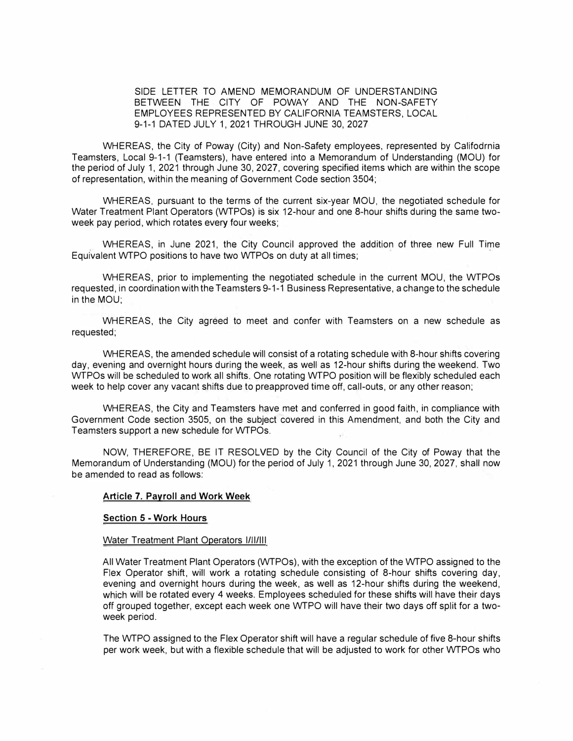SIDE LETTER TO AMEND MEMORANDUM OF UNDERSTANDING BETWEEN THE CITY OF POWAY AND THE NON-SAFETY EMPLOYEES REPRESENTED BY CALIFORNIA TEAMSTERS, LOCAL 9-1-1 DATED JULY 1, 2021 THROUGH JUNE 30, 2027

WHEREAS, the City of Poway (City) and Non-Safety employees, represented by Califodrnia Teamsters, Local 9-1-1 (Teamsters), have entered into a Memorandum of Understanding (MOU) for the period of July 1, 2021 through June 30, 2027, covering specified items which are within the scope of representation, within the meaning of Government Code section 3504;

WHEREAS, pursuant to the terms of the current six-year MOU, the negotiated schedule for Water Treatment Plant Operators (WTPOs) is six 12-hour and one 8-hour shifts during the same twoweek pay period, which rotates every four weeks;

WHEREAS, in June 2021, the City Council approved the addition of three new Full Time Equivalent WTPO positions to have two WTPOs on duty at all times;

WHEREAS, prior to implementing the negotiated schedule in the current MOU, the WTPOs requested, in coordination with the Teamsters 9-1-1 Business Representative, a change to the schedule in the MOU;

WHEREAS, the City agreed to meet and confer with Teamsters on a new schedule as requested;

WHEREAS, the amended schedule will consist of a rotating schedule with 8-hour shifts covering day, evening and overnight hours during the week, as well as 12-hour shifts during the weekend. Two WTPOs will be scheduled to work all shifts. One rotating WTPO position will be flexibly scheduled each week to help cover any vacant shifts due to preapproved time off, call-outs, or any other reason;

WHEREAS, the City and Teamsters have met and conferred in good faith, in compliance with Government Code section 3505, on the subject covered in this Amendment, and both the City and Teamsters support a new schedule for WTPOs.

NOW, THEREFORE, BE IT RESOLVED by the City Council of the City of Poway that the Memorandum of Understanding (MOU) for the period of July 1, 2021 through June 30, 2027, shall now be amended to read as follows:

## **Article 7. Payroll and Work Week**

## **Section 5 - Work Hours**

## Water Treatment Plant Operators I/II/III

All Water Treatment Plant Operators (WTPOs), with the exception of the WTPO assigned to the Flex Operator shift, will work a rotating schedule consisting of 8-hour shifts covering day, evening and overnight hours during the week, as well as 12-hour shifts during the weekend, which will be rotated every 4 weeks. Employees scheduled for these shifts will have their days off grouped together, except each week one WTPO will have their two days off split for a twoweek period.

The WTPO assigned to the Flex Operator shift will have a regular schedule of five 8-hour shifts per work week, but with a flexible schedule that will be adjusted to work for other WTPOs who